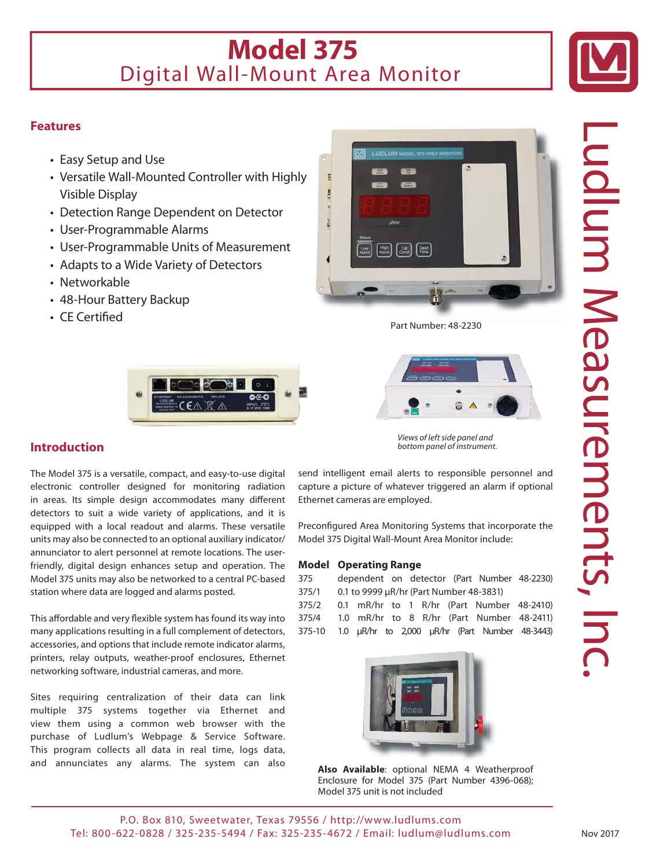# **Model 375** Digital Wall-Mount Area Monitor



### **Features**

- Easy Setup and Use
- Versatile Wall-Mounted Controller with Highly Visible Display
- Detection Range Dependent on Detector
- User-Programmable Alarms
- User-Programmable Units of Measurement
- Adapts to a Wide Variety of Detectors
- Networkable
- 48-Hour Battery Backup
- $\cdot$  CE Certified



Part Number: 48-2230 b



*Views of left side panel and bottom panel of instrument.*

**Introduction**

The Model 375 is a versatile, compact, and easy-to-use digital electronic controller designed for monitoring radiation in areas. Its simple design accommodates many different detectors to suit a wide variety of applications, and it is equipped with a local readout and alarms. These versatile units may also be connected to an optional auxiliary indicator/ annunciator to alert personnel at remote locations. The userfriendly, digital design enhances setup and operation. The Model 375 units may also be networked to a central PC-based station where data are logged and alarms posted.

This affordable and very flexible system has found its way into many applications resulting in a full complement of detectors, accessories, and options that include remote indicator alarms, printers, relay outputs, weather-proof enclosures, Ethernet networking software, industrial cameras, and more.

Sites requiring centralization of their data can link multiple 375 systems together via Ethernet and view them using a common web browser with the purchase of Ludlum's Webpage & Service Software. This program collects all data in real time, logs data, and annunciates any alarms. The system can also send intelligent email alerts to responsible personnel and capture a picture of whatever triggered an alarm if optional Ethernet cameras are employed.

Preconfigured Area Monitoring Systems that incorporate the Model 375 Digital Wall-Mount Area Monitor include:

### **Model Operating Range**

| 375   | dependent on detector (Part Number 48-2230) |  |  |  |  |  |                                           |  |
|-------|---------------------------------------------|--|--|--|--|--|-------------------------------------------|--|
| 375/1 | 0.1 to 9999 µR/hr (Part Number 48-3831)     |  |  |  |  |  |                                           |  |
| 375/2 |                                             |  |  |  |  |  | 0.1 mR/hr to 1 R/hr (Part Number 48-2410) |  |
| 375/4 |                                             |  |  |  |  |  | 1.0 mR/hr to 8 R/hr (Part Number 48-2411) |  |

375-10 1.0 μR/hr to 2,000 μR/hr (Part Number 48-3443)



**Also Available**: optional NEMA 4 Weatherproof Enclosure for Model 375 (Part Number 4396-068); Model 375 unit is not included